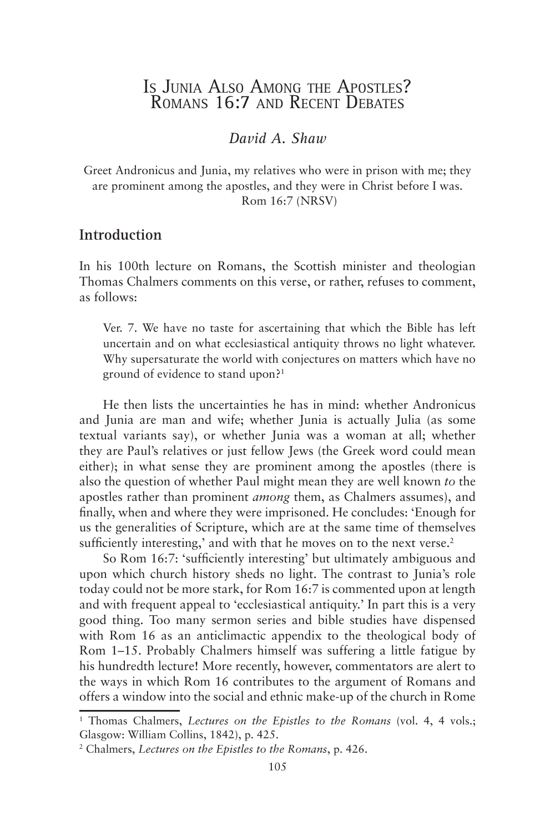# Is Junia Also Among the Apostles? Romans 16:7 and Recent Debates

*David A. Shaw* 

Greet Andronicus and Junia, my relatives who were in prison with me; they are prominent among the apostles, and they were in Christ before I was. Rom 16:7 (NRSV)

# **Introduction**

In his 100th lecture on Romans, the Scottish minister and theologian Thomas Chalmers comments on this verse, or rather, refuses to comment, as follows:

Ver. 7. We have no taste for ascertaining that which the Bible has left uncertain and on what ecclesiastical antiquity throws no light whatever. Why supersaturate the world with conjectures on matters which have no ground of evidence to stand upon?<sup>1</sup>

He then lists the uncertainties he has in mind: whether Andronicus and Junia are man and wife; whether Junia is actually Julia (as some textual variants say), or whether Junia was a woman at all; whether they are Paul's relatives or just fellow Jews (the Greek word could mean either); in what sense they are prominent among the apostles (there is also the question of whether Paul might mean they are well known *to* the apostles rather than prominent *among* them, as Chalmers assumes), and finally, when and where they were imprisoned. He concludes: 'Enough for us the generalities of Scripture, which are at the same time of themselves sufficiently interesting,' and with that he moves on to the next verse.<sup>2</sup>

So Rom 16:7: 'sufficiently interesting' but ultimately ambiguous and upon which church history sheds no light. The contrast to Junia's role today could not be more stark, for Rom 16:7 is commented upon at length and with frequent appeal to 'ecclesiastical antiquity.' In part this is a very good thing. Too many sermon series and bible studies have dispensed with Rom 16 as an anticlimactic appendix to the theological body of Rom 1–15. Probably Chalmers himself was suffering a little fatigue by his hundredth lecture! More recently, however, commentators are alert to the ways in which Rom 16 contributes to the argument of Romans and offers a window into the social and ethnic make-up of the church in Rome

<sup>1</sup> Thomas Chalmers, *Lectures on the Epistles to the Romans* (vol. 4, 4 vols.; Glasgow: William Collins, 1842), p. 425.

<sup>2</sup> Chalmers, *Lectures on the Epistles to the Romans*, p. 426.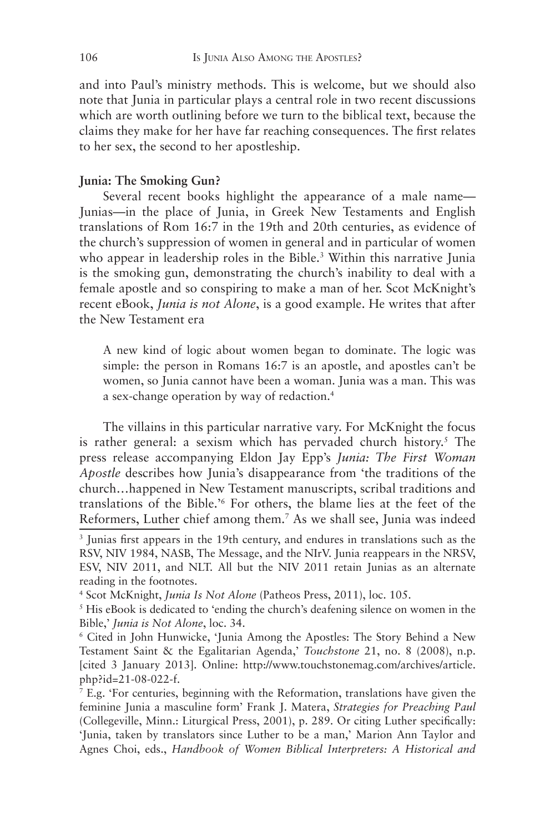and into Paul's ministry methods. This is welcome, but we should also note that Junia in particular plays a central role in two recent discussions which are worth outlining before we turn to the biblical text, because the claims they make for her have far reaching consequences. The first relates to her sex, the second to her apostleship.

#### **Junia: The Smoking Gun?**

Several recent books highlight the appearance of a male name— Junias—in the place of Junia, in Greek New Testaments and English translations of Rom 16:7 in the 19th and 20th centuries, as evidence of the church's suppression of women in general and in particular of women who appear in leadership roles in the Bible.<sup>3</sup> Within this narrative Junia is the smoking gun, demonstrating the church's inability to deal with a female apostle and so conspiring to make a man of her. Scot McKnight's recent eBook, *Junia is not Alone*, is a good example. He writes that after the New Testament era

A new kind of logic about women began to dominate. The logic was simple: the person in Romans 16:7 is an apostle, and apostles can't be women, so Junia cannot have been a woman. Junia was a man. This was a sex-change operation by way of redaction.4

The villains in this particular narrative vary. For McKnight the focus is rather general: a sexism which has pervaded church history.<sup>5</sup> The press release accompanying Eldon Jay Epp's *Junia: The First Woman Apostle* describes how Junia's disappearance from 'the traditions of the church…happened in New Testament manuscripts, scribal traditions and translations of the Bible.'<sup>6</sup> For others, the blame lies at the feet of the Reformers, Luther chief among them.7 As we shall see, Junia was indeed

<sup>3</sup> Junias first appears in the 19th century, and endures in translations such as the RSV, NIV 1984, NASB, The Message, and the NIrV. Junia reappears in the NRSV, ESV, NIV 2011, and NLT. All but the NIV 2011 retain Junias as an alternate reading in the footnotes.

<sup>4</sup> Scot McKnight, *Junia Is Not Alone* (Patheos Press, 2011), loc. 105.

<sup>5</sup> His eBook is dedicated to 'ending the church's deafening silence on women in the Bible,' *Junia is Not Alone*, loc. 34.

<sup>6</sup> Cited in John Hunwicke, 'Junia Among the Apostles: The Story Behind a New Testament Saint & the Egalitarian Agenda,' *Touchstone* 21, no. 8 (2008), n.p. [cited 3 January 2013]. Online: http://www.touchstonemag.com/archives/article. php?id=21-08-022-f.

<sup>7</sup> E.g. 'For centuries, beginning with the Reformation, translations have given the feminine Junia a masculine form' Frank J. Matera, *Strategies for Preaching Paul* (Collegeville, Minn.: Liturgical Press, 2001), p. 289. Or citing Luther specifically: 'Junia, taken by translators since Luther to be a man,' Marion Ann Taylor and Agnes Choi, eds., *Handbook of Women Biblical Interpreters: A Historical and*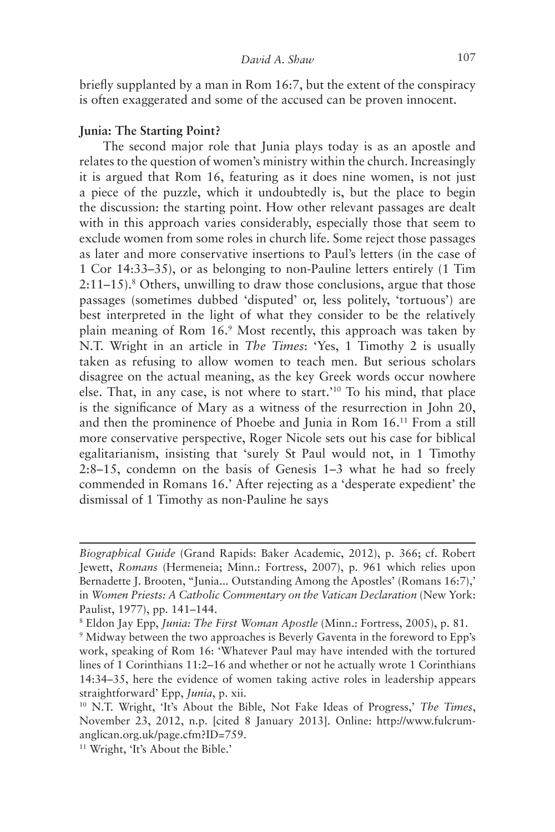briefly supplanted by a man in Rom 16:7, but the extent of the conspiracy is often exaggerated and some of the accused can be proven innocent.

#### **Junia: The Starting Point?**

The second major role that Junia plays today is as an apostle and relates to the question of women's ministry within the church. Increasingly it is argued that Rom 16, featuring as it does nine women, is not just a piece of the puzzle, which it undoubtedly is, but the place to begin the discussion: the starting point. How other relevant passages are dealt with in this approach varies considerably, especially those that seem to exclude women from some roles in church life. Some reject those passages as later and more conservative insertions to Paul's letters (in the case of 1 Cor 14:33–35), or as belonging to non-Pauline letters entirely (1 Tim 2:11–15).8 Others, unwilling to draw those conclusions, argue that those passages (sometimes dubbed 'disputed' or, less politely, 'tortuous') are best interpreted in the light of what they consider to be the relatively plain meaning of Rom 16.<sup>9</sup> Most recently, this approach was taken by N.T. Wright in an article in *The Times*: 'Yes, 1 Timothy 2 is usually taken as refusing to allow women to teach men. But serious scholars disagree on the actual meaning, as the key Greek words occur nowhere else. That, in any case, is not where to start.'10 To his mind, that place is the significance of Mary as a witness of the resurrection in John 20, and then the prominence of Phoebe and Junia in Rom 16.11 From a still more conservative perspective, Roger Nicole sets out his case for biblical egalitarianism, insisting that 'surely St Paul would not, in 1 Timothy 2:8–15, condemn on the basis of Genesis 1–3 what he had so freely commended in Romans 16.' After rejecting as a 'desperate expedient' the dismissal of 1 Timothy as non-Pauline he says

*Biographical Guide* (Grand Rapids: Baker Academic, 2012), p. 366; cf. Robert Jewett, *Romans* (Hermeneia; Minn.: Fortress, 2007), p. 961 which relies upon Bernadette J. Brooten, "Junia... Outstanding Among the Apostles' (Romans 16:7),' in *Women Priests: A Catholic Commentary on the Vatican Declaration* (New York: Paulist, 1977), pp. 141–144.

<sup>8</sup> Eldon Jay Epp, *Junia: The First Woman Apostle* (Minn.: Fortress, 2005), p. 81.

<sup>9</sup> Midway between the two approaches is Beverly Gaventa in the foreword to Epp's work, speaking of Rom 16: 'Whatever Paul may have intended with the tortured lines of 1 Corinthians 11:2–16 and whether or not he actually wrote 1 Corinthians 14:34–35, here the evidence of women taking active roles in leadership appears straightforward' Epp, *Junia*, p. xii.

<sup>10</sup> N.T. Wright, 'It's About the Bible, Not Fake Ideas of Progress,' *The Times*, November 23, 2012, n.p. [cited 8 January 2013]. Online: http://www.fulcrumanglican.org.uk/page.cfm?ID=759.

<sup>&</sup>lt;sup>11</sup> Wright, 'It's About the Bible.'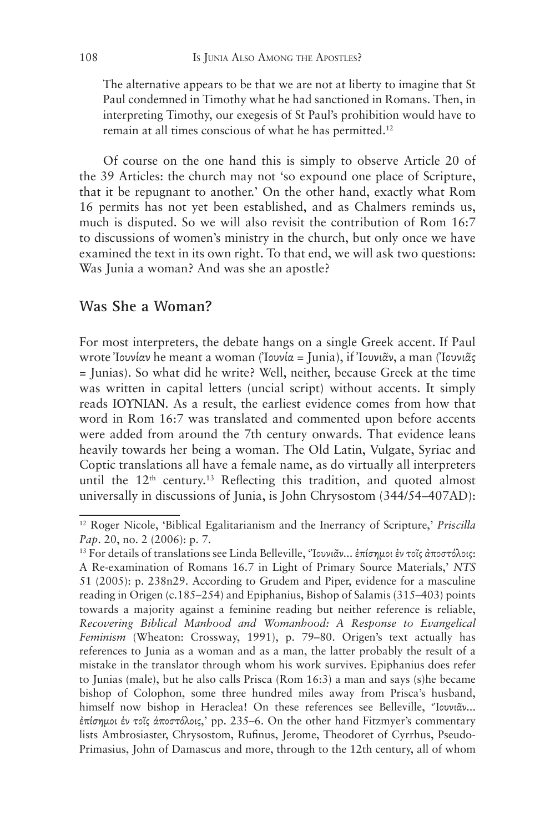The alternative appears to be that we are not at liberty to imagine that St Paul condemned in Timothy what he had sanctioned in Romans. Then, in interpreting Timothy, our exegesis of St Paul's prohibition would have to remain at all times conscious of what he has permitted.<sup>12</sup>

Of course on the one hand this is simply to observe Article 20 of the 39 Articles: the church may not 'so expound one place of Scripture, that it be repugnant to another.' On the other hand, exactly what Rom 16 permits has not yet been established, and as Chalmers reminds us, much is disputed. So we will also revisit the contribution of Rom 16:7 to discussions of women's ministry in the church, but only once we have examined the text in its own right. To that end, we will ask two questions: Was Junia a woman? And was she an apostle?

### **Was She a Woman?**

For most interpreters, the debate hangs on a single Greek accent. If Paul wrote Ἰουνίαν he meant a woman (Ἰουνία = Junia), if Ἰουνιᾶν, a man (Ἰουνιᾶς = Junias). So what did he write? Well, neither, because Greek at the time was written in capital letters (uncial script) without accents. It simply reads ΙΟΥΝΙΑΝ. As a result, the earliest evidence comes from how that word in Rom 16:7 was translated and commented upon before accents were added from around the 7th century onwards. That evidence leans heavily towards her being a woman. The Old Latin, Vulgate, Syriac and Coptic translations all have a female name, as do virtually all interpreters until the  $12<sup>th</sup>$  century.<sup>13</sup> Reflecting this tradition, and quoted almost universally in discussions of Junia, is John Chrysostom (344/54–407AD):

<sup>12</sup> Roger Nicole, 'Biblical Egalitarianism and the Inerrancy of Scripture,' *Priscilla Pap*. 20, no. 2 (2006): p. 7.

<sup>13</sup> For details of translations see Linda Belleville, 'Ίουνιᾶν... ἐπίσημοι ἐν τοῖς ἀποστόλοις: A Re-examination of Romans 16.7 in Light of Primary Source Materials,' *NTS* 51 (2005): p. 238n29. According to Grudem and Piper, evidence for a masculine reading in Origen (c.185–254) and Epiphanius, Bishop of Salamis (315–403) points towards a majority against a feminine reading but neither reference is reliable, *Recovering Biblical Manhood and Womanhood: A Response to Evangelical Feminism* (Wheaton: Crossway, 1991), p. 79–80. Origen's text actually has references to Junia as a woman and as a man, the latter probably the result of a mistake in the translator through whom his work survives. Epiphanius does refer to Junias (male), but he also calls Prisca (Rom 16:3) a man and says (s)he became bishop of Colophon, some three hundred miles away from Prisca's husband, himself now bishop in Heraclea! On these references see Belleville, 'Ἰουνιᾶν... ἐπίσημοι ἐν τοῖς ἀποστόλοις,' pp. 235–6. On the other hand Fitzmyer's commentary lists Ambrosiaster, Chrysostom, Rufinus, Jerome, Theodoret of Cyrrhus, Pseudo-Primasius, John of Damascus and more, through to the 12th century, all of whom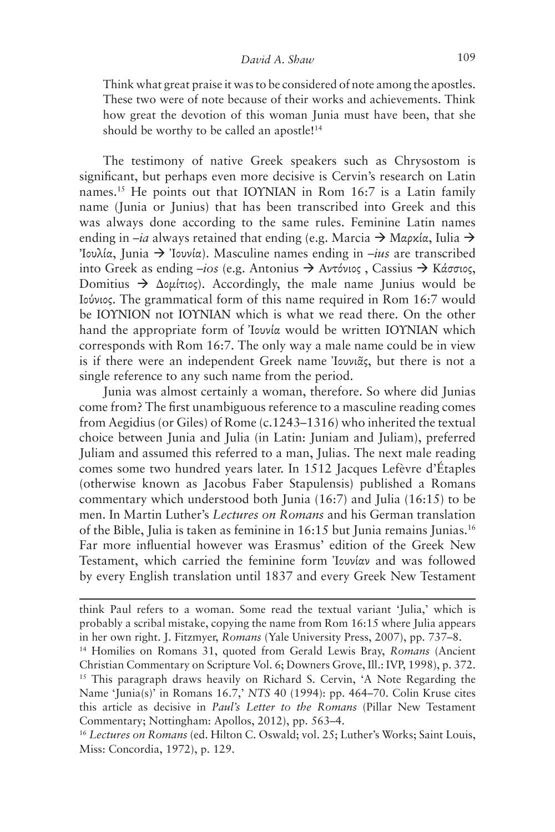Think what great praise it was to be considered of note among the apostles. These two were of note because of their works and achievements. Think how great the devotion of this woman Junia must have been, that she should be worthy to be called an apostle!<sup>14</sup>

The testimony of native Greek speakers such as Chrysostom is significant, but perhaps even more decisive is Cervin's research on Latin names.<sup>15</sup> He points out that IOYNIAN in Rom 16:7 is a Latin family name (Junia or Junius) that has been transcribed into Greek and this was always done according to the same rules. Feminine Latin names ending in  $-i\alpha$  always retained that ending (e.g. Marcia  $\rightarrow$  Μαρκία, Iulia  $\rightarrow$ 'Ιουλία, Junia à Ἰουνία). Masculine names ending in –*ius* are transcribed into Greek as ending *–ios* (e.g. Antonius → Αντόνιος, Cassius → Κάσσιος, Domitius  $\rightarrow$  Δομίτιος). Accordingly, the male name Junius would be Ιούνιος. The grammatical form of this name required in Rom 16:7 would be ΙΟΥΝΙΟΝ not ΙΟΥΝΙΑΝ which is what we read there. On the other hand the appropriate form of Ἰουνία would be written ΙΟΥΝΙΑΝ which corresponds with Rom 16:7. The only way a male name could be in view is if there were an independent Greek name Ἰουνιᾶς, but there is not a single reference to any such name from the period.

Junia was almost certainly a woman, therefore. So where did Junias come from? The first unambiguous reference to a masculine reading comes from Aegidius (or Giles) of Rome (c.1243–1316) who inherited the textual choice between Junia and Julia (in Latin: Juniam and Juliam), preferred Juliam and assumed this referred to a man, Julias. The next male reading comes some two hundred years later. In 1512 Jacques Lefèvre d'Étaples (otherwise known as Jacobus Faber Stapulensis) published a Romans commentary which understood both Junia (16:7) and Julia (16:15) to be men. In Martin Luther's *Lectures on Romans* and his German translation of the Bible, Julia is taken as feminine in 16:15 but Junia remains Junias.16 Far more influential however was Erasmus' edition of the Greek New Testament, which carried the feminine form Ἰουνίαν and was followed by every English translation until 1837 and every Greek New Testament

think Paul refers to a woman. Some read the textual variant 'Julia,' which is probably a scribal mistake, copying the name from Rom 16:15 where Julia appears in her own right. J. Fitzmyer, *Romans* (Yale University Press, 2007), pp. 737–8.

<sup>14</sup> Homilies on Romans 31, quoted from Gerald Lewis Bray, *Romans* (Ancient Christian Commentary on Scripture Vol. 6; Downers Grove, Ill.: IVP, 1998), p. 372. <sup>15</sup> This paragraph draws heavily on Richard S. Cervin, 'A Note Regarding the Name 'Junia(s)' in Romans 16.7,' *NTS* 40 (1994): pp. 464–70. Colin Kruse cites this article as decisive in *Paul's Letter to the Romans* (Pillar New Testament Commentary; Nottingham: Apollos, 2012), pp. 563–4.

<sup>16</sup> *Lectures on Romans* (ed. Hilton C. Oswald; vol. 25; Luther's Works; Saint Louis, Miss: Concordia, 1972), p. 129.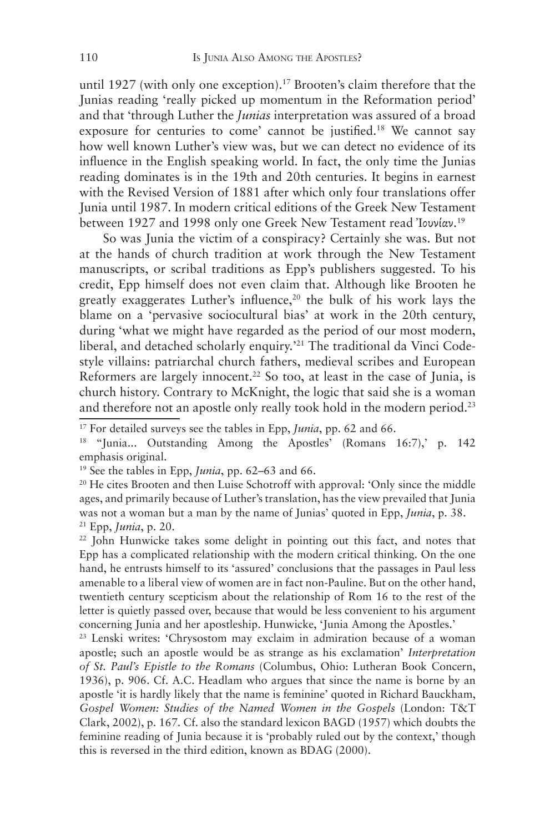until 1927 (with only one exception).<sup>17</sup> Brooten's claim therefore that the Junias reading 'really picked up momentum in the Reformation period' and that 'through Luther the *Junias* interpretation was assured of a broad exposure for centuries to come' cannot be justified.18 We cannot say how well known Luther's view was, but we can detect no evidence of its influence in the English speaking world. In fact, the only time the Junias reading dominates is in the 19th and 20th centuries. It begins in earnest with the Revised Version of 1881 after which only four translations offer Junia until 1987. In modern critical editions of the Greek New Testament between 1927 and 1998 only one Greek New Testament read Ἰουνίαν.<sup>19</sup>

So was Junia the victim of a conspiracy? Certainly she was. But not at the hands of church tradition at work through the New Testament manuscripts, or scribal traditions as Epp's publishers suggested. To his credit, Epp himself does not even claim that. Although like Brooten he greatly exaggerates Luther's influence,<sup>20</sup> the bulk of his work lays the blame on a 'pervasive sociocultural bias' at work in the 20th century, during 'what we might have regarded as the period of our most modern, liberal, and detached scholarly enquiry.<sup>21</sup> The traditional da Vinci Codestyle villains: patriarchal church fathers, medieval scribes and European Reformers are largely innocent.<sup>22</sup> So too, at least in the case of Junia, is church history. Contrary to McKnight, the logic that said she is a woman and therefore not an apostle only really took hold in the modern period.<sup>23</sup>

<sup>17</sup> For detailed surveys see the tables in Epp, *Junia*, pp. 62 and 66.

<sup>&</sup>lt;sup>18</sup> "Junia... Outstanding Among the Apostles' (Romans 16:7),' p. 142 emphasis original.

<sup>19</sup> See the tables in Epp, *Junia*, pp. 62–63 and 66.

<sup>&</sup>lt;sup>20</sup> He cites Brooten and then Luise Schotroff with approval: 'Only since the middle ages, and primarily because of Luther's translation, has the view prevailed that Junia was not a woman but a man by the name of Junias' quoted in Epp, *Junia*, p. 38. 21 Epp, *Junia*, p. 20.

<sup>22</sup> John Hunwicke takes some delight in pointing out this fact, and notes that Epp has a complicated relationship with the modern critical thinking. On the one hand, he entrusts himself to its 'assured' conclusions that the passages in Paul less amenable to a liberal view of women are in fact non-Pauline. But on the other hand, twentieth century scepticism about the relationship of Rom 16 to the rest of the letter is quietly passed over, because that would be less convenient to his argument concerning Junia and her apostleship. Hunwicke, 'Junia Among the Apostles.'

<sup>23</sup> Lenski writes: 'Chrysostom may exclaim in admiration because of a woman apostle; such an apostle would be as strange as his exclamation' *Interpretation of St. Paul's Epistle to the Romans* (Columbus, Ohio: Lutheran Book Concern, 1936), p. 906. Cf. A.C. Headlam who argues that since the name is borne by an apostle 'it is hardly likely that the name is feminine' quoted in Richard Bauckham, *Gospel Women: Studies of the Named Women in the Gospels* (London: T&T Clark, 2002), p. 167. Cf. also the standard lexicon BAGD (1957) which doubts the feminine reading of Junia because it is 'probably ruled out by the context,' though this is reversed in the third edition, known as BDAG (2000).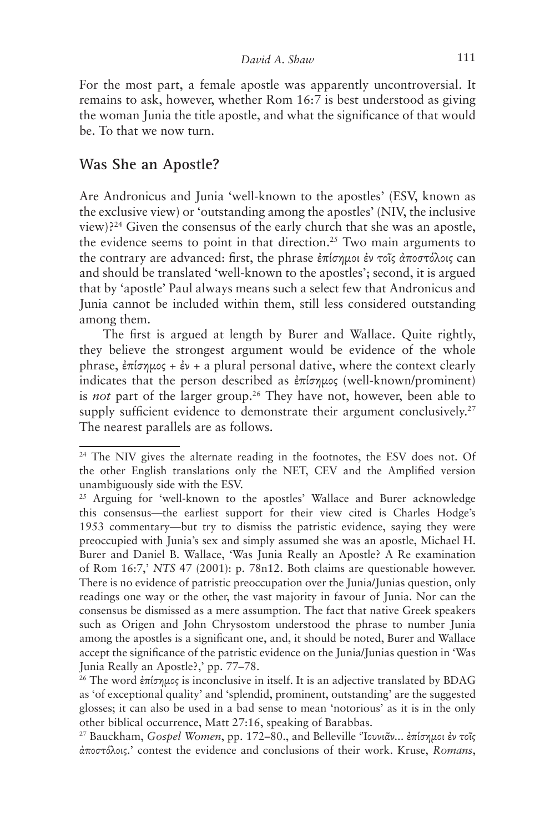For the most part, a female apostle was apparently uncontroversial. It remains to ask, however, whether Rom 16:7 is best understood as giving the woman Junia the title apostle, and what the significance of that would be. To that we now turn.

### **Was She an Apostle?**

Are Andronicus and Junia 'well-known to the apostles' (ESV, known as the exclusive view) or 'outstanding among the apostles' (NIV, the inclusive view)?24 Given the consensus of the early church that she was an apostle, the evidence seems to point in that direction.<sup>25</sup> Two main arguments to the contrary are advanced: first, the phrase ἐπίσημοι ἐν τοῖς ἀποστόλοις can and should be translated 'well-known to the apostles'; second, it is argued that by 'apostle' Paul always means such a select few that Andronicus and Junia cannot be included within them, still less considered outstanding among them.

The first is argued at length by Burer and Wallace. Quite rightly, they believe the strongest argument would be evidence of the whole phrase, ἐπίσημος + ἐν + a plural personal dative, where the context clearly indicates that the person described as ἐπίσημος (well-known/prominent) is *not* part of the larger group.<sup>26</sup> They have not, however, been able to supply sufficient evidence to demonstrate their argument conclusively.<sup>27</sup> The nearest parallels are as follows.

<sup>&</sup>lt;sup>24</sup> The NIV gives the alternate reading in the footnotes, the ESV does not. Of the other English translations only the NET, CEV and the Amplified version unambiguously side with the ESV.

<sup>&</sup>lt;sup>25</sup> Arguing for 'well-known to the apostles' Wallace and Burer acknowledge this consensus—the earliest support for their view cited is Charles Hodge's 1953 commentary—but try to dismiss the patristic evidence, saying they were preoccupied with Junia's sex and simply assumed she was an apostle, Michael H. Burer and Daniel B. Wallace, 'Was Junia Really an Apostle? A Re examination of Rom 16:7,' *NTS* 47 (2001): p. 78n12. Both claims are questionable however. There is no evidence of patristic preoccupation over the Junia/Junias question, only readings one way or the other, the vast majority in favour of Junia. Nor can the consensus be dismissed as a mere assumption. The fact that native Greek speakers such as Origen and John Chrysostom understood the phrase to number Junia among the apostles is a significant one, and, it should be noted, Burer and Wallace accept the significance of the patristic evidence on the Junia/Junias question in 'Was Junia Really an Apostle?,' pp. 77–78.

<sup>26</sup> The word ἐπίσημος is inconclusive in itself. It is an adjective translated by BDAG as 'of exceptional quality' and 'splendid, prominent, outstanding' are the suggested glosses; it can also be used in a bad sense to mean 'notorious' as it is in the only other biblical occurrence, Matt 27:16, speaking of Barabbas.

<sup>27</sup> Bauckham, *Gospel Women*, pp. 172–80., and Belleville 'Ἰουνιᾶν... ἐπίσημοι ἐν τοῖς ἀποστόλοις.' contest the evidence and conclusions of their work. Kruse, *Romans*,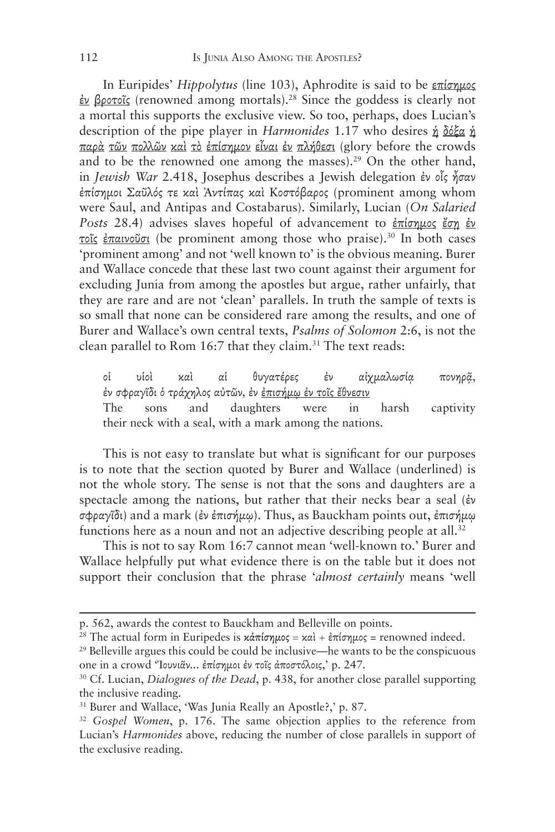In Euripides' *Hippolytus* (line 103), Aphrodite is said to be επίσημος ἐν βροτοῖς (renowned among mortals).28 Since the goddess is clearly not a mortal this supports the exclusive view. So too, perhaps, does Lucian's description of the pipe player in *Harmonides* 1.17 who desires ἡ δόξα ἡ παρὰ τῶν πολλῶν καὶ τὸ ἐπίσημον εἶναι ἐν πλήθεσι (glory before the crowds and to be the renowned one among the masses).<sup>29</sup> On the other hand, in *Jewish War* 2.418, Josephus describes a Jewish delegation ἐν οἷς ἦσαν ἐπίσημοι Σαῦλός τε καὶ Ἀντίπας καὶ Κοστόβαρος (prominent among whom were Saul, and Antipas and Costabarus). Similarly, Lucian (*On Salaried Posts* 28.4) advises slaves hopeful of advancement to ἐπίσημος ἔσῃ ἐν τοῖς ἐπαινοῦσι (be prominent among those who praise).30 In both cases 'prominent among' and not 'well known to' is the obvious meaning. Burer and Wallace concede that these last two count against their argument for excluding Junia from among the apostles but argue, rather unfairly, that they are rare and are not 'clean' parallels. In truth the sample of texts is so small that none can be considered rare among the results, and one of Burer and Wallace's own central texts, *Psalms of Solomon* 2:6, is not the clean parallel to Rom  $16:7$  that they claim.<sup>31</sup> The text reads:

οἱ υἱοὶ καὶ αἱ θυγατέρες ἐν αἰχμαλωσία πονηρῷ, ἐν σφραγῖδι ὁ τράχηλος αὐτῶν, ἐν ἐπισήμῳ ἐν τοῖς ἔθνεσιν The sons and daughters were in harsh captivity their neck with a seal, with a mark among the nations.

This is not easy to translate but what is significant for our purposes is to note that the section quoted by Burer and Wallace (underlined) is not the whole story. The sense is not that the sons and daughters are a spectacle among the nations, but rather that their necks bear a seal (ἐν σφραγῖδι) and a mark (ἐν ἐπισήμῳ). Thus, as Bauckham points out, ἐπισήμῳ functions here as a noun and not an adjective describing people at all.<sup>32</sup>

This is not to say Rom 16:7 cannot mean 'well-known to.' Burer and Wallace helpfully put what evidence there is on the table but it does not support their conclusion that the phrase '*almost certainly* means 'well

p. 562, awards the contest to Bauckham and Belleville on points.

<sup>&</sup>lt;sup>28</sup> The actual form in Euripedes is κάπίσημος = καὶ + ἐπίσημος = renowned indeed. 29 Belleville argues this could be could be inclusive—he wants to be the conspicuous one in a crowd 'Ἰουνιᾶν... ἐπίσημοι ἐν τοῖς ἀποστόλοις,' p. 247.

<sup>30</sup> Cf. Lucian, *Dialogues of the Dead*, p. 438, for another close parallel supporting the inclusive reading.

<sup>&</sup>lt;sup>31</sup> Burer and Wallace, 'Was Junia Really an Apostle?,' p. 87.

<sup>&</sup>lt;sup>32</sup> *Gospel Women*, p. 176. The same objection applies to the reference from Lucian's *Harmonides* above, reducing the number of close parallels in support of the exclusive reading.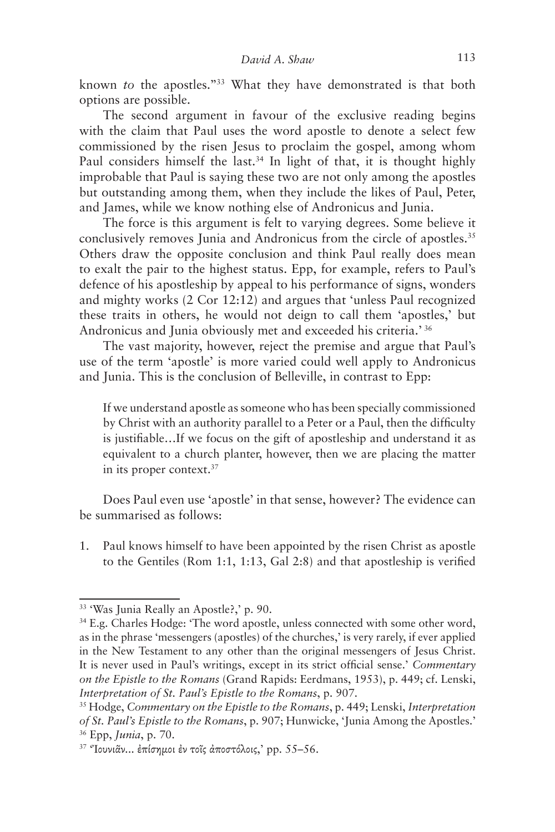known *to* the apostles.''33 What they have demonstrated is that both options are possible.

The second argument in favour of the exclusive reading begins with the claim that Paul uses the word apostle to denote a select few commissioned by the risen Jesus to proclaim the gospel, among whom Paul considers himself the last.<sup>34</sup> In light of that, it is thought highly improbable that Paul is saying these two are not only among the apostles but outstanding among them, when they include the likes of Paul, Peter, and James, while we know nothing else of Andronicus and Junia.

The force is this argument is felt to varying degrees. Some believe it conclusively removes Junia and Andronicus from the circle of apostles.<sup>35</sup> Others draw the opposite conclusion and think Paul really does mean to exalt the pair to the highest status. Epp, for example, refers to Paul's defence of his apostleship by appeal to his performance of signs, wonders and mighty works (2 Cor 12:12) and argues that 'unless Paul recognized these traits in others, he would not deign to call them 'apostles,' but Andronicus and Junia obviously met and exceeded his criteria.' <sup>36</sup>

The vast majority, however, reject the premise and argue that Paul's use of the term 'apostle' is more varied could well apply to Andronicus and Junia. This is the conclusion of Belleville, in contrast to Epp:

If we understand apostle as someone who has been specially commissioned by Christ with an authority parallel to a Peter or a Paul, then the difficulty is justifiable…If we focus on the gift of apostleship and understand it as equivalent to a church planter, however, then we are placing the matter in its proper context.37

Does Paul even use 'apostle' in that sense, however? The evidence can be summarised as follows:

1. Paul knows himself to have been appointed by the risen Christ as apostle to the Gentiles (Rom 1:1, 1:13, Gal 2:8) and that apostleship is verified

<sup>33 &#</sup>x27;Was Junia Really an Apostle?,' p. 90.

<sup>34</sup> E.g. Charles Hodge: 'The word apostle, unless connected with some other word, as in the phrase 'messengers (apostles) of the churches,' is very rarely, if ever applied in the New Testament to any other than the original messengers of Jesus Christ. It is never used in Paul's writings, except in its strict official sense.' *Commentary on the Epistle to the Romans* (Grand Rapids: Eerdmans, 1953), p. 449; cf. Lenski, *Interpretation of St. Paul's Epistle to the Romans*, p. 907.

<sup>35</sup> Hodge, *Commentary on the Epistle to the Romans*, p. 449; Lenski, *Interpretation of St. Paul's Epistle to the Romans*, p. 907; Hunwicke, 'Junia Among the Apostles.' <sup>36</sup> Epp, *Junia*, p. 70.

 $37$  'Ίουνιᾶν... ἐπίσημοι ἐν τοῖς ἀποστόλοις,' pp. 55-56.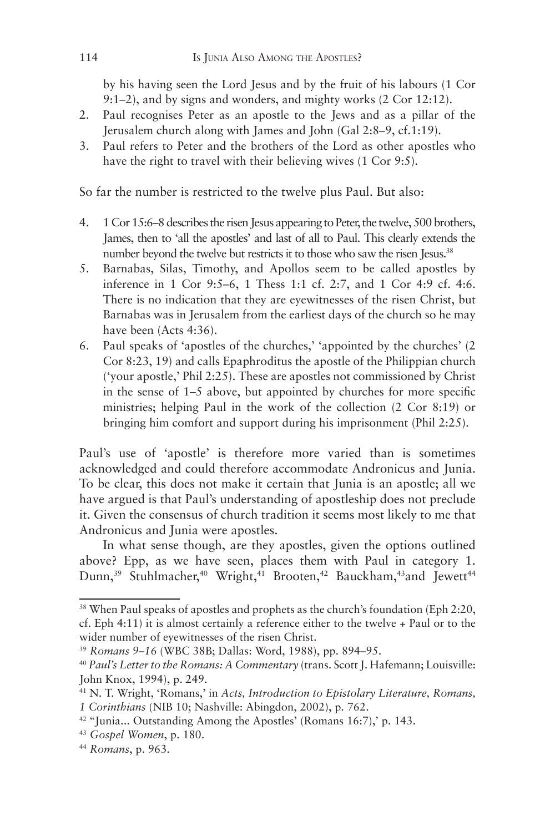by his having seen the Lord Jesus and by the fruit of his labours (1 Cor 9:1–2), and by signs and wonders, and mighty works (2 Cor 12:12).

- 2. Paul recognises Peter as an apostle to the Jews and as a pillar of the Jerusalem church along with James and John (Gal 2:8–9, cf.1:19).
- 3. Paul refers to Peter and the brothers of the Lord as other apostles who have the right to travel with their believing wives (1 Cor 9:5).

So far the number is restricted to the twelve plus Paul. But also:

- 4. 1 Cor 15:6–8 describes the risen Jesus appearing to Peter, the twelve, 500 brothers, James, then to 'all the apostles' and last of all to Paul. This clearly extends the number beyond the twelve but restricts it to those who saw the risen Jesus.38
- 5. Barnabas, Silas, Timothy, and Apollos seem to be called apostles by inference in 1 Cor 9:5–6, 1 Thess 1:1 cf. 2:7, and 1 Cor 4:9 cf. 4:6. There is no indication that they are eyewitnesses of the risen Christ, but Barnabas was in Jerusalem from the earliest days of the church so he may have been (Acts 4:36).
- 6. Paul speaks of 'apostles of the churches,' 'appointed by the churches' (2 Cor 8:23, 19) and calls Epaphroditus the apostle of the Philippian church ('your apostle,' Phil 2:25). These are apostles not commissioned by Christ in the sense of 1–5 above, but appointed by churches for more specific ministries; helping Paul in the work of the collection (2 Cor 8:19) or bringing him comfort and support during his imprisonment (Phil 2:25).

Paul's use of 'apostle' is therefore more varied than is sometimes acknowledged and could therefore accommodate Andronicus and Junia. To be clear, this does not make it certain that Junia is an apostle; all we have argued is that Paul's understanding of apostleship does not preclude it. Given the consensus of church tradition it seems most likely to me that Andronicus and Junia were apostles.

In what sense though, are they apostles, given the options outlined above? Epp, as we have seen, places them with Paul in category 1. Dunn,<sup>39</sup> Stuhlmacher,<sup>40</sup> Wright,<sup>41</sup> Brooten,<sup>42</sup> Bauckham,<sup>43</sup>and Jewett<sup>44</sup>

<sup>&</sup>lt;sup>38</sup> When Paul speaks of apostles and prophets as the church's foundation (Eph 2:20, cf. Eph 4:11) it is almost certainly a reference either to the twelve + Paul or to the wider number of eyewitnesses of the risen Christ.

<sup>39</sup> *Romans 9–16* (WBC 38B; Dallas: Word, 1988), pp. 894–95.

<sup>40</sup> *Paul's Letter to the Romans: A Commentary* (trans. Scott J. Hafemann; Louisville: John Knox, 1994), p. 249.

<sup>41</sup> N. T. Wright, 'Romans,' in *Acts, Introduction to Epistolary Literature, Romans, 1 Corinthians* (NIB 10; Nashville: Abingdon, 2002), p. 762.

<sup>&</sup>lt;sup>42</sup> "Junia... Outstanding Among the Apostles' (Romans 16:7),' p. 143.

<sup>43</sup> *Gospel Women*, p. 180.

<sup>44</sup> *Romans*, p. 963.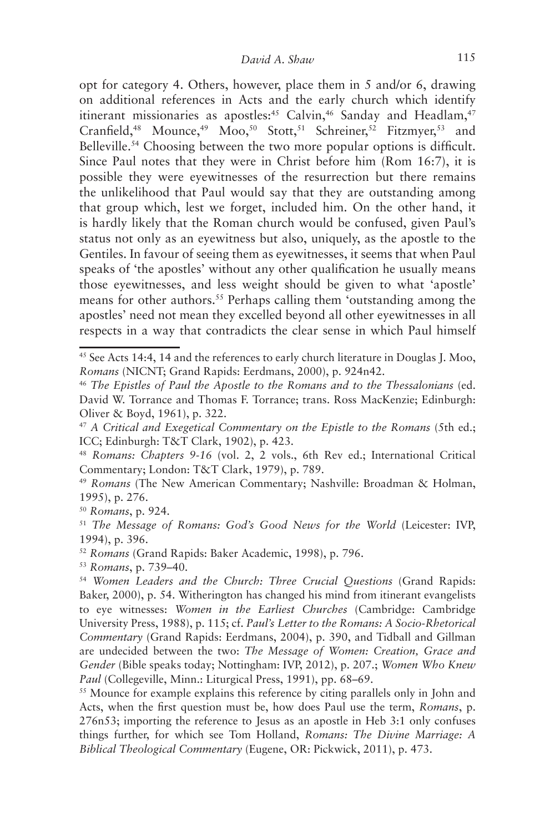opt for category 4. Others, however, place them in 5 and/or 6, drawing on additional references in Acts and the early church which identify itinerant missionaries as apostles:<sup>45</sup> Calvin,<sup>46</sup> Sanday and Headlam,<sup>47</sup> Cranfield,<sup>48</sup> Mounce,<sup>49</sup> Moo,<sup>50</sup> Stott,<sup>51</sup> Schreiner,<sup>52</sup> Fitzmyer,<sup>53</sup> and Belleville.<sup>54</sup> Choosing between the two more popular options is difficult. Since Paul notes that they were in Christ before him (Rom 16:7), it is possible they were eyewitnesses of the resurrection but there remains the unlikelihood that Paul would say that they are outstanding among that group which, lest we forget, included him. On the other hand, it is hardly likely that the Roman church would be confused, given Paul's status not only as an eyewitness but also, uniquely, as the apostle to the Gentiles. In favour of seeing them as eyewitnesses, it seems that when Paul speaks of 'the apostles' without any other qualification he usually means those eyewitnesses, and less weight should be given to what 'apostle' means for other authors.<sup>55</sup> Perhaps calling them 'outstanding among the apostles' need not mean they excelled beyond all other eyewitnesses in all respects in a way that contradicts the clear sense in which Paul himself

<sup>45</sup> See Acts 14:4, 14 and the references to early church literature in Douglas J. Moo, *Romans* (NICNT; Grand Rapids: Eerdmans, 2000), p. 924n42.

<sup>46</sup> *The Epistles of Paul the Apostle to the Romans and to the Thessalonians* (ed. David W. Torrance and Thomas F. Torrance; trans. Ross MacKenzie; Edinburgh: Oliver & Boyd, 1961), p. 322.

<sup>47</sup> *A Critical and Exegetical Commentary on the Epistle to the Romans* (5th ed.; ICC; Edinburgh: T&T Clark, 1902), p. 423.

<sup>48</sup> *Romans: Chapters 9-16* (vol. 2, 2 vols., 6th Rev ed.; International Critical Commentary; London: T&T Clark, 1979), p. 789.

<sup>49</sup> *Romans* (The New American Commentary; Nashville: Broadman & Holman, 1995), p. 276.

<sup>50</sup> *Romans*, p. 924.

<sup>51</sup> *The Message of Romans: God's Good News for the World* (Leicester: IVP, 1994), p. 396.

<sup>52</sup> *Romans* (Grand Rapids: Baker Academic, 1998), p. 796.

<sup>53</sup> *Romans*, p. 739–40.

<sup>54</sup> *Women Leaders and the Church: Three Crucial Questions* (Grand Rapids: Baker, 2000), p. 54. Witherington has changed his mind from itinerant evangelists to eye witnesses: *Women in the Earliest Churches* (Cambridge: Cambridge University Press, 1988), p. 115; cf. *Paul's Letter to the Romans: A Socio-Rhetorical Commentary* (Grand Rapids: Eerdmans, 2004), p. 390, and Tidball and Gillman are undecided between the two: *The Message of Women: Creation, Grace and Gender* (Bible speaks today; Nottingham: IVP, 2012), p. 207.; *Women Who Knew Paul* (Collegeville, Minn.: Liturgical Press, 1991), pp. 68–69.

<sup>&</sup>lt;sup>55</sup> Mounce for example explains this reference by citing parallels only in John and Acts, when the first question must be, how does Paul use the term, *Romans*, p. 276n53; importing the reference to Jesus as an apostle in Heb 3:1 only confuses things further, for which see Tom Holland, *Romans: The Divine Marriage: A Biblical Theological Commentary* (Eugene, OR: Pickwick, 2011), p. 473.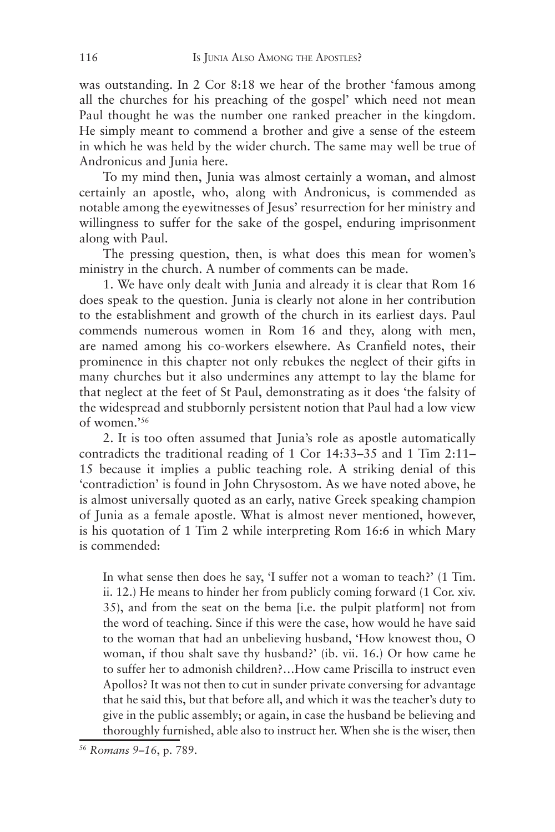was outstanding. In 2 Cor 8:18 we hear of the brother 'famous among all the churches for his preaching of the gospel' which need not mean Paul thought he was the number one ranked preacher in the kingdom. He simply meant to commend a brother and give a sense of the esteem in which he was held by the wider church. The same may well be true of Andronicus and Junia here.

To my mind then, Junia was almost certainly a woman, and almost certainly an apostle, who, along with Andronicus, is commended as notable among the eyewitnesses of Jesus' resurrection for her ministry and willingness to suffer for the sake of the gospel, enduring imprisonment along with Paul.

The pressing question, then, is what does this mean for women's ministry in the church. A number of comments can be made.

1. We have only dealt with Junia and already it is clear that Rom 16 does speak to the question. Junia is clearly not alone in her contribution to the establishment and growth of the church in its earliest days. Paul commends numerous women in Rom 16 and they, along with men, are named among his co-workers elsewhere. As Cranfield notes, their prominence in this chapter not only rebukes the neglect of their gifts in many churches but it also undermines any attempt to lay the blame for that neglect at the feet of St Paul, demonstrating as it does 'the falsity of the widespread and stubbornly persistent notion that Paul had a low view of women.'<sup>56</sup>

2. It is too often assumed that Junia's role as apostle automatically contradicts the traditional reading of 1 Cor 14:33–35 and 1 Tim 2:11– 15 because it implies a public teaching role. A striking denial of this 'contradiction' is found in John Chrysostom. As we have noted above, he is almost universally quoted as an early, native Greek speaking champion of Junia as a female apostle. What is almost never mentioned, however, is his quotation of 1 Tim 2 while interpreting Rom 16:6 in which Mary is commended:

In what sense then does he say, 'I suffer not a woman to teach?' (1 Tim. ii. 12.) He means to hinder her from publicly coming forward (1 Cor. xiv. 35), and from the seat on the bema [i.e. the pulpit platform] not from the word of teaching. Since if this were the case, how would he have said to the woman that had an unbelieving husband, 'How knowest thou, O woman, if thou shalt save thy husband?' (ib. vii. 16.) Or how came he to suffer her to admonish children?…How came Priscilla to instruct even Apollos? It was not then to cut in sunder private conversing for advantage that he said this, but that before all, and which it was the teacher's duty to give in the public assembly; or again, in case the husband be believing and thoroughly furnished, able also to instruct her. When she is the wiser, then

<sup>56</sup> *Romans 9–16*, p. 789.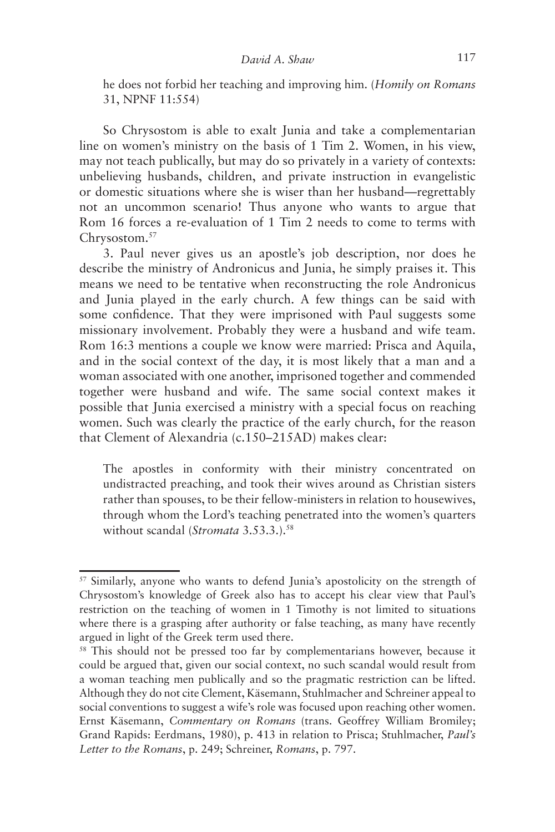he does not forbid her teaching and improving him. (*Homily on Romans* 31, NPNF 11:554)

So Chrysostom is able to exalt Junia and take a complementarian line on women's ministry on the basis of 1 Tim 2. Women, in his view, may not teach publically, but may do so privately in a variety of contexts: unbelieving husbands, children, and private instruction in evangelistic or domestic situations where she is wiser than her husband—regrettably not an uncommon scenario! Thus anyone who wants to argue that Rom 16 forces a re-evaluation of 1 Tim 2 needs to come to terms with Chrysostom.<sup>57</sup>

3. Paul never gives us an apostle's job description, nor does he describe the ministry of Andronicus and Junia, he simply praises it. This means we need to be tentative when reconstructing the role Andronicus and Junia played in the early church. A few things can be said with some confidence. That they were imprisoned with Paul suggests some missionary involvement. Probably they were a husband and wife team. Rom 16:3 mentions a couple we know were married: Prisca and Aquila, and in the social context of the day, it is most likely that a man and a woman associated with one another, imprisoned together and commended together were husband and wife. The same social context makes it possible that Junia exercised a ministry with a special focus on reaching women. Such was clearly the practice of the early church, for the reason that Clement of Alexandria (c.150–215AD) makes clear:

The apostles in conformity with their ministry concentrated on undistracted preaching, and took their wives around as Christian sisters rather than spouses, to be their fellow-ministers in relation to housewives, through whom the Lord's teaching penetrated into the women's quarters without scandal (*Stromata* 3.53.3.).58

<sup>&</sup>lt;sup>57</sup> Similarly, anyone who wants to defend Junia's apostolicity on the strength of Chrysostom's knowledge of Greek also has to accept his clear view that Paul's restriction on the teaching of women in 1 Timothy is not limited to situations where there is a grasping after authority or false teaching, as many have recently argued in light of the Greek term used there.

<sup>&</sup>lt;sup>58</sup> This should not be pressed too far by complementarians however, because it could be argued that, given our social context, no such scandal would result from a woman teaching men publically and so the pragmatic restriction can be lifted. Although they do not cite Clement, Käsemann, Stuhlmacher and Schreiner appeal to social conventions to suggest a wife's role was focused upon reaching other women. Ernst Käsemann, *Commentary on Romans* (trans. Geoffrey William Bromiley; Grand Rapids: Eerdmans, 1980), p. 413 in relation to Prisca; Stuhlmacher, *Paul's Letter to the Romans*, p. 249; Schreiner, *Romans*, p. 797.